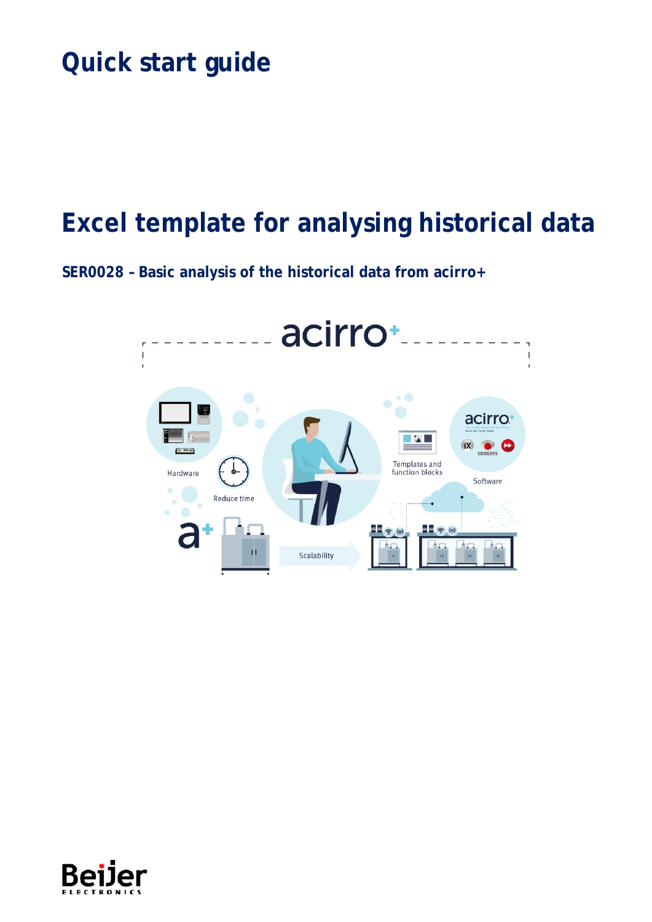# Quick start guide

## Excel template for analysing historical data

SER0028 - Basic analysis of the historical data from acirro+



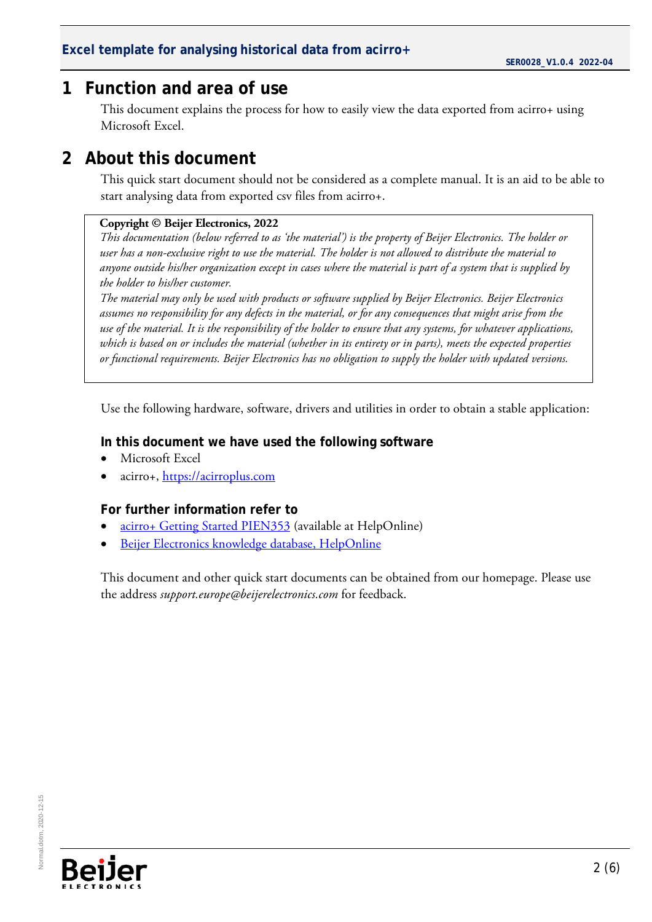#### <span id="page-1-0"></span>**1 Function and area of use**

This document explains the process for how to easily view the data exported from acirro+ using Microsoft Excel.

### <span id="page-1-1"></span>**2 About this document**

This quick start document should not be considered as a complete manual. It is an aid to be able to start analysing data from exported csv files from acirro+.

#### **Copyright © Beijer Electronics, 2022**

*This documentation (below referred to as 'the material') is the property of Beijer Electronics. The holder or user has a non-exclusive right to use the material. The holder is not allowed to distribute the material to anyone outside his/her organization except in cases where the material is part of a system that is supplied by the holder to his/her customer.* 

*The material may only be used with products or software supplied by Beijer Electronics. Beijer Electronics assumes no responsibility for any defects in the material, or for any consequences that might arise from the use of the material. It is the responsibility of the holder to ensure that any systems, for whatever applications, which is based on or includes the material (whether in its entirety or in parts), meets the expected properties or functional requirements. Beijer Electronics has no obligation to supply the holder with updated versions.*

Use the following hardware, software, drivers and utilities in order to obtain a stable application:

#### **In this document we have used the following software**

- Microsoft Excel
- acirro+, [https://acirroplus.com](https://acirroplus.com/)

#### **For further information refer to**

- [acirro+ Getting Started PIEN353](https://www.beijerelectronics.com/API/SharePointFileByKnowledgeBaseIdAndIndex/50E5D1B44A1B441C89B84AFD498F9A70/0) (available at HelpOnline)
- [Beijer Electronics knowledge database, HelpOnline](https://www.beijerelectronics.se/sv-SE/Support/file-archive-tree-page)

This document and other quick start documents can be obtained from our homepage. Please use the address *support.europe@beijerelectronics.com* for feedback.

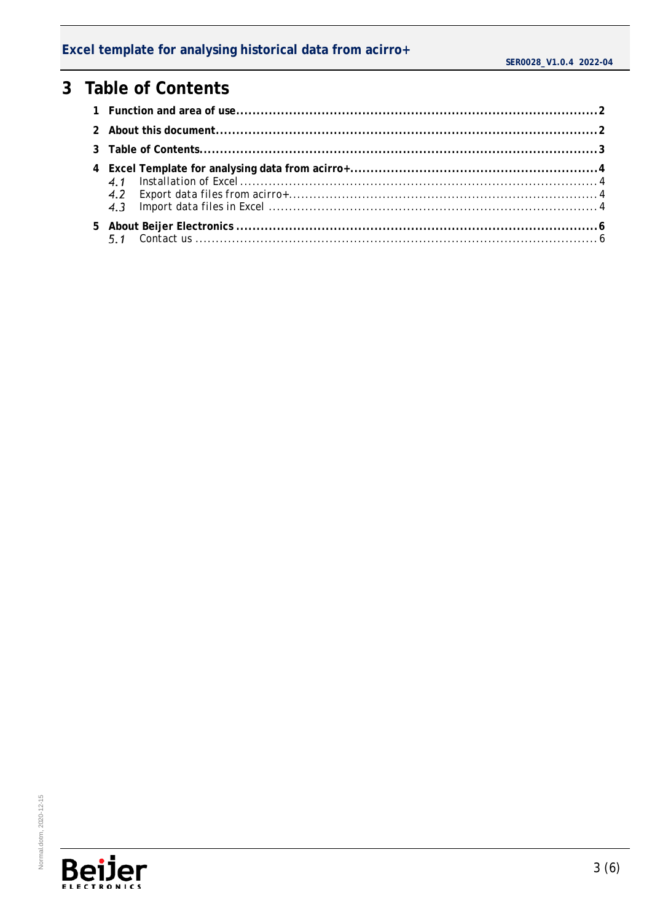#### Excel template for analysing historical data from acirro+

### <span id="page-2-0"></span>3 Table of Contents

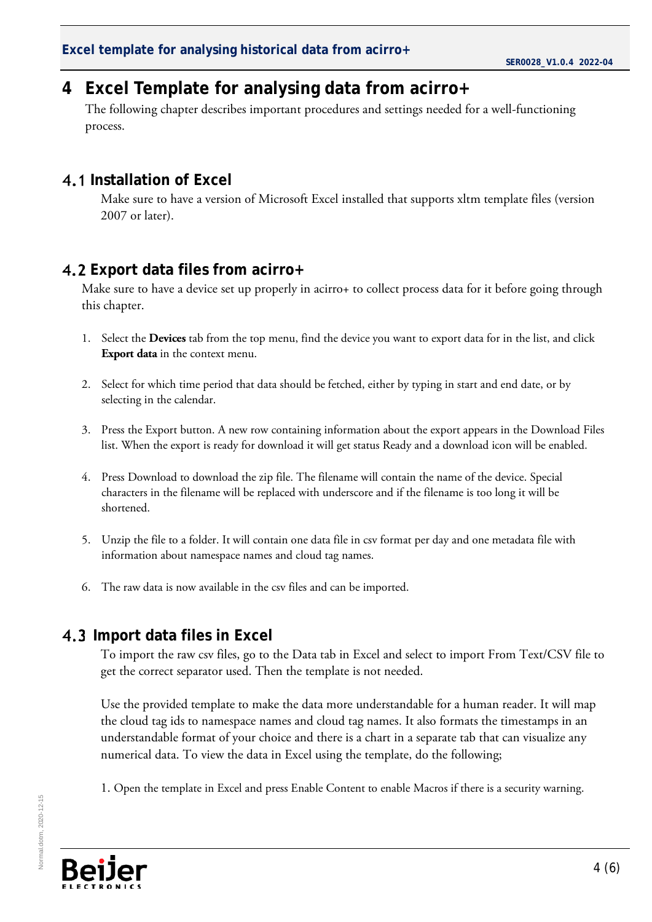#### <span id="page-3-0"></span>**4 Excel Template for analysing data from acirro+**

The following chapter describes important procedures and settings needed for a well-functioning process.

#### <span id="page-3-1"></span>**4.1 Installation of Excel**

Make sure to have a version of Microsoft Excel installed that supports xltm template files (version 2007 or later).

#### <span id="page-3-2"></span>**Export data files from acirro+**

Make sure to have a device set up properly in acirro+ to collect process data for it before going through this chapter.

- 1. Select the **Devices** tab from the top menu, find the device you want to export data for in the list, and click **Export data** in the context menu.
- 2. Select for which time period that data should be fetched, either by typing in start and end date, or by selecting in the calendar.
- 3. Press the Export button. A new row containing information about the export appears in the Download Files list. When the export is ready for download it will get status Ready and a download icon will be enabled.
- 4. Press Download to download the zip file. The filename will contain the name of the device. Special characters in the filename will be replaced with underscore and if the filename is too long it will be shortened.
- 5. Unzip the file to a folder. It will contain one data file in csv format per day and one metadata file with information about namespace names and cloud tag names.
- 6. The raw data is now available in the csv files and can be imported.

#### <span id="page-3-3"></span>**Import data files in Excel**

To import the raw csv files, go to the Data tab in Excel and select to import From Text/CSV file to get the correct separator used. Then the template is not needed.

Use the provided template to make the data more understandable for a human reader. It will map the cloud tag ids to namespace names and cloud tag names. It also formats the timestamps in an understandable format of your choice and there is a chart in a separate tab that can visualize any numerical data. To view the data in Excel using the template, do the following;

1. Open the template in Excel and press Enable Content to enable Macros if there is a security warning.

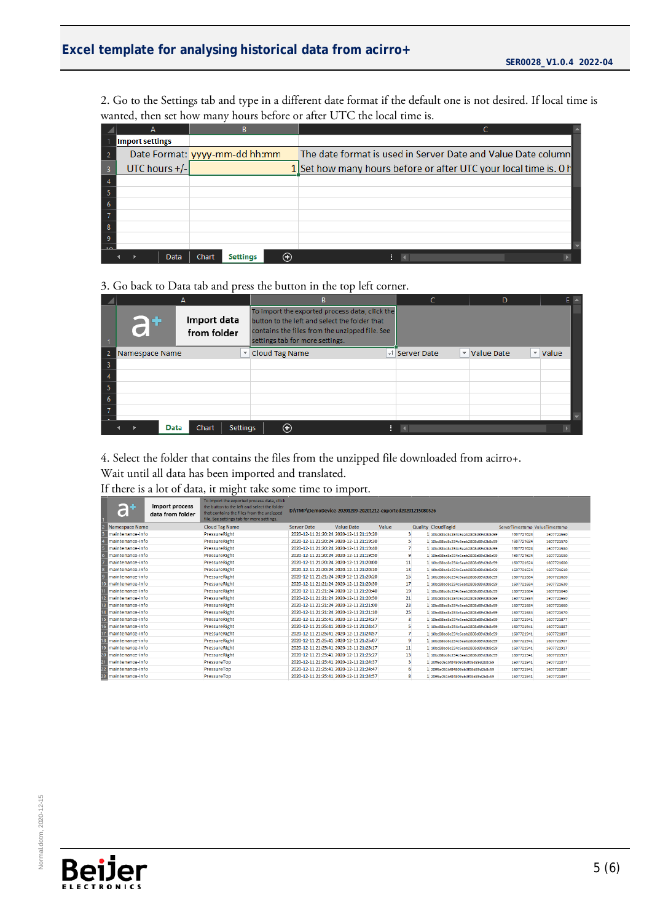## Excel template for analysing historical data from acirro+ SER0028\_V1.0.4 2022-04

2. Go to the Settings tab and type in a different date format if the default one is not desired. If local time is wanted, then set how many hours before or after UTC the local time is.

|    | А                      |                               |                                                                  |  |
|----|------------------------|-------------------------------|------------------------------------------------------------------|--|
|    | <b>Import settings</b> |                               |                                                                  |  |
|    |                        | Date Format: yyyy-mm-dd hh:mm | The date format is used in Server Date and Value Date column     |  |
| -3 | UTC hours +/-          |                               | 1 Set how many hours before or after UTC your local time is. 0 h |  |
|    |                        |                               |                                                                  |  |
|    |                        |                               |                                                                  |  |
|    |                        |                               |                                                                  |  |
|    |                        |                               |                                                                  |  |
| -8 |                        |                               |                                                                  |  |
| -9 |                        |                               |                                                                  |  |
|    |                        |                               |                                                                  |  |
|    | Data                   | <b>Settings</b><br>Chart      |                                                                  |  |

#### 3. Go back to Data tab and press the button in the top left corner.

|     |                                         |                 | R                                                                                                                                                                                    | D                          |                   |       |  |
|-----|-----------------------------------------|-----------------|--------------------------------------------------------------------------------------------------------------------------------------------------------------------------------------|----------------------------|-------------------|-------|--|
|     | Import data<br><b>GF</b><br>from folder |                 | To import the exported process data, click the<br>button to the left and select the folder that<br>contains the files from the unzipped file. See<br>settings tab for more settings. |                            |                   |       |  |
| -2. | Namespace Name                          | ▼               | <b>Cloud Tag Name</b>                                                                                                                                                                | - <sup>†</sup> Server Date | v Value Date<br>v | Value |  |
| 3   |                                         |                 |                                                                                                                                                                                      |                            |                   |       |  |
|     |                                         |                 |                                                                                                                                                                                      |                            |                   |       |  |
| -5  |                                         |                 |                                                                                                                                                                                      |                            |                   |       |  |
| -6  |                                         |                 |                                                                                                                                                                                      |                            |                   |       |  |
|     |                                         |                 |                                                                                                                                                                                      |                            |                   |       |  |
|     | Chart<br>Data                           | <b>Settings</b> | ⊕                                                                                                                                                                                    |                            |                   |       |  |

4. Select the folder that contains the files from the unzipped file downloaded from acirro+. Wait until all data has been imported and translated.

If there is a lot of data, it might take some time to import.

|                 | $\bullet$        | <b>Import process</b><br>data from folder | To import the exported process data, click<br>the button to the left and select the folder<br>that contains the files from the unzipped<br>file. See settings tab for more settings. | D:\TMP\DemoDevice-20201209-20201212-exported20201215080526 |                                         |       |                                    |                                |            |
|-----------------|------------------|-------------------------------------------|--------------------------------------------------------------------------------------------------------------------------------------------------------------------------------------|------------------------------------------------------------|-----------------------------------------|-------|------------------------------------|--------------------------------|------------|
|                 | Namespace Name   |                                           | <b>Cloud Tag Name</b>                                                                                                                                                                | <b>Server Date</b>                                         | <b>Value Date</b>                       | Value | Quality CloudTagId                 | ServerTimestamp ValueTimestamp |            |
|                 | maintenance-info |                                           | PressureRight                                                                                                                                                                        |                                                            | 2020-12-11 21:20:24 2020-12-11 21:19:20 | 3     | 10bc88bd8c234c6eab2808d89d2b8c59   | 1607721624                     | 1607721560 |
|                 | maintenance-info |                                           | PressureRight                                                                                                                                                                        |                                                            | 2020-12-11 21:20:24 2020-12-11 21:19:30 | 5     | 10bc88bd8c234c6eab2808d89d2b8c59   | 1607721624                     | 1607721570 |
|                 | maintenance-info |                                           | PressureRight                                                                                                                                                                        |                                                            | 2020-12-11 21:20:24 2020-12-11 21:19:40 |       | 10bc88bd8c234c6eab2808d89d2b8c59   | 1607721624                     | 1607721580 |
|                 | maintenance-info |                                           | PressureRight                                                                                                                                                                        |                                                            | 2020-12-11 21:20:24 2020-12-11 21:19:50 | 9     | 10bc88bd8c234c6eab2808d89d2b8c59   | 1607721624                     | 1607721590 |
|                 | maintenance-info |                                           | PressureRight                                                                                                                                                                        |                                                            | 2020-12-11 21:20:24 2020-12-11 21:20:00 | 11    | 10bc88bd8c234c6eab2808d89d2b8c59   | 1607721624                     | 1607721600 |
|                 | maintenance-info |                                           | PressureRight                                                                                                                                                                        |                                                            | 2020-12-11 21:20:24 2020-12-11 21:20:10 | 13    | 1 10bc88bd8c234c6eab2808d89d2b8c59 | 1607721624                     | 1607721610 |
|                 | maintenance-info |                                           | <b>PressureRight</b>                                                                                                                                                                 |                                                            | 2020-12-11 21:21:24 2020-12-11 21:20:20 | 15    | 10bc88bd8c234c6eab2808d89d2b8c59   | 1607721684                     | 1607721620 |
| 10              | maintenance-info |                                           | PressureRight                                                                                                                                                                        |                                                            | 2020-12-11 21:21:24 2020-12-11 21:20:30 | 17    | 10bc88bd8c234c6eab2808d89d2b8c59   | 1607721684                     | 1607721630 |
|                 | maintenance-info |                                           | PressureRight                                                                                                                                                                        |                                                            | 2020-12-11 21:21:24 2020-12-11 21:20:40 | 19    | 10bc88bd8c234c6eab2808d89d2b8c59   | 1607721684                     | 1607721640 |
| $\overline{2}$  | maintenance-info |                                           | PressureRight                                                                                                                                                                        |                                                            | 2020-12-11 21:21:24 2020-12-11 21:20:50 | 21    | 1 10bc88bd8c234c6eab2808d89d2b8c59 | 1607721684                     | 1607721650 |
| 13              | maintenance-info |                                           | PressureRight                                                                                                                                                                        |                                                            | 2020-12-11 21:21:24 2020-12-11 21:21:00 | 23    | 10bc88bd8c234c6eab2808d89d2b8c59   | 1607721684                     | 1607721660 |
|                 | maintenance-info |                                           | PressureRight                                                                                                                                                                        |                                                            | 2020-12-11 21:21:24 2020-12-11 21:21:10 | 25    | 1 10bc88bd8c234c6eab2808d89d2b8c59 | 1607721684                     | 1607721670 |
| $\overline{15}$ | maintenance-info |                                           | PressureRight                                                                                                                                                                        |                                                            | 2020-12-11 21:25:41 2020-12-11 21:24:37 | 3     | 1 10bc88bd8c234c6eab2808d89d2b8c59 | 1607721941                     | 1607721877 |
| $\overline{16}$ | maintenance-info |                                           | PressureRight                                                                                                                                                                        |                                                            | 2020-12-11 21:25:41 2020-12-11 21:24:47 |       | 10bc88bd8c234c6eab2808d89d2b8c59   | 1607721941                     | 1607721887 |
| 17              | maintenance-info |                                           | PressureRight                                                                                                                                                                        | 2020-12-11 21:25:41 2020-12-11 21:24:57                    |                                         | 7     | 10bc88bd8c234c6eab2808d89d2b8c59   | 1607721941                     | 1607721897 |
| 18              | maintenance-info |                                           | PressureRight                                                                                                                                                                        |                                                            | 2020-12-11 21:25:41 2020-12-11 21:25:07 | 9     | 10bc88bd8c234c6eab2808d89d2b8c59   | 1607721941                     | 1607721907 |
| 19              | maintenance-info |                                           | PressureRight                                                                                                                                                                        |                                                            | 2020-12-11 21:25:41 2020-12-11 21:25:17 | 11    | 1 10bc88bd8c234c6eab2808d89d2b8c59 | 1607721941                     | 1607721917 |
| 20              | maintenance-info |                                           | PressureRight                                                                                                                                                                        |                                                            | 2020-12-11 21:25:41 2020-12-11 21:25:27 | 13    | 1 10bc88bd8c234c6eab2808d89d2b8c59 | 1607721941                     | 1607721927 |
|                 | maintenance-info |                                           | PressureTop                                                                                                                                                                          |                                                            | 2020-12-11 21:25:41 2020-12-11 21:24:37 | 3     | 20ff6e051bf84809ab3f08d89d2b8c59   | 1607721941                     | 1607721877 |
| $\overline{22}$ | maintenance-info |                                           | PressureTop                                                                                                                                                                          |                                                            | 2020-12-11 21:25:41 2020-12-11 21:24:47 | 6     | 20ff6e051bf84809ab3f08d89d2b8c59   | 1607721941                     | 1607721887 |
| 23              | maintenance-info |                                           | PressureTop                                                                                                                                                                          |                                                            | 2020-12-11 21:25:41 2020-12-11 21:24:57 | 8     | 1 20ff6e051bf84809ab3f08d89d2b8c59 | 1607721941                     | 1607721897 |